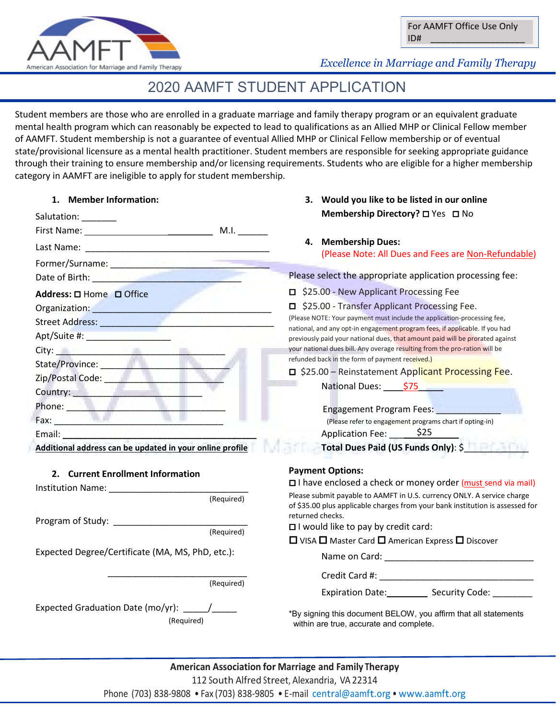

## *Excellence in Marriage and Family Therapy*

## 2020 AAMFT STUDENT APPLICATION

Student members are those who are enrolled in a graduate marriage and family therapy program or an equivalent graduate mental health program which can reasonably be expected to lead to qualifications as an Allied MHP or Clinical Fellow member of AAMFT. Student membership is not a guarantee of eventual Allied MHP or Clinical Fellow membership or of eventual state/provisional licensure as a mental health practitioner. Student members are responsible for seeking appropriate guidance through their training to ensure membership and/or licensing requirements. Students who are eligible for a higher membership category in AAMFT are ineligible to apply for student membership.

| 1. Member Information:                                                                                                                                                                                                               | 3. Would you like to be listed in our online                                                                                                                 |
|--------------------------------------------------------------------------------------------------------------------------------------------------------------------------------------------------------------------------------------|--------------------------------------------------------------------------------------------------------------------------------------------------------------|
| Salutation: _______                                                                                                                                                                                                                  | Membership Directory? □ Yes □ No                                                                                                                             |
| First Name: Manual Manual M.I.                                                                                                                                                                                                       |                                                                                                                                                              |
|                                                                                                                                                                                                                                      | 4. Membership Dues:<br>(Please Note: All Dues and Fees are Non-Refundable)                                                                                   |
|                                                                                                                                                                                                                                      |                                                                                                                                                              |
| Date of Birth: <b>All and Strip and Strip and Strip and Strip and Strip and Strip and Strip and Strip and Strip and Strip and Strip and Strip and Strip and Strip and Strip and Strip and Strip and Strip and Strip and Strip an</b> | Please select the appropriate application processing fee:                                                                                                    |
| Address: □ Home □ Office                                                                                                                                                                                                             | □ \$25.00 - New Applicant Processing Fee                                                                                                                     |
| Organization: New York State State State State State State State State State State State State State State State State State State State State State State State State State State State State State State State State State S       | S25.00 - Transfer Applicant Processing Fee.                                                                                                                  |
| Street Address: _______________                                                                                                                                                                                                      | (Please NOTE: Your payment must include the application-processing fee,                                                                                      |
| Apt/Suite #:                                                                                                                                                                                                                         | national, and any opt-in engagement program fees, if applicable. If you had<br>previously paid your national dues, that amount paid will be prorated against |
| City: <b>City: And City: And City: And City:</b>                                                                                                                                                                                     | your national dues bill. Any overage resulting from the pro-ration will be                                                                                   |
|                                                                                                                                                                                                                                      | refunded back in the form of payment received.)                                                                                                              |
|                                                                                                                                                                                                                                      | □ \$25.00 - Reinstatement Applicant Processing Fee.                                                                                                          |
| Country: <u>Alexander State of The Country:</u>                                                                                                                                                                                      | National Dues: \$75                                                                                                                                          |
|                                                                                                                                                                                                                                      | Engagement Program Fees: Engagement Program Fees:                                                                                                            |
| Fax: The Contract of the Contract of the Contract of the Contract of the Contract of the Contract of the Contract of the Contract of the Contract of the Contract of the Contract of the Contract of the Contract of the Contr       | (Please refer to engagement programs chart if opting-in)                                                                                                     |
| Email: Email: Email: Email: Email: Email: Email: Email: Email: Email: Email: Email: Email: Email: Email: Email: Email: Email: Email: Email: Email: Email: Email: Email: Email: Email: Email: Email: Email: Email: Email: Email       | Application Fee: 525                                                                                                                                         |
| Additional address can be updated in your online profile                                                                                                                                                                             | Total Dues Paid (US Funds Only): \$                                                                                                                          |
| 2. Current Enrollment Information                                                                                                                                                                                                    | <b>Payment Options:</b>                                                                                                                                      |
|                                                                                                                                                                                                                                      | □ I have enclosed a check or money order (must send via mail)                                                                                                |
| (Required)                                                                                                                                                                                                                           | Please submit payable to AAMFT in U.S. currency ONLY. A service charge<br>of \$35.00 plus applicable charges from your bank institution is assessed for      |
| Program of Study: 2000 Program of Study:                                                                                                                                                                                             | returned checks.<br>$\Box$ I would like to pay by credit card:                                                                                               |
| (Required)                                                                                                                                                                                                                           | $\Box$ VISA $\Box$ Master Card $\Box$ American Express $\Box$ Discover                                                                                       |
| Expected Degree/Certificate (MA, MS, PhD, etc.):                                                                                                                                                                                     | Name on Card: Name on Card:                                                                                                                                  |
|                                                                                                                                                                                                                                      |                                                                                                                                                              |
| (Required)                                                                                                                                                                                                                           |                                                                                                                                                              |
|                                                                                                                                                                                                                                      | Expiration Date: Security Code:                                                                                                                              |
| Expected Graduation Date (mo/yr): _____/____                                                                                                                                                                                         | *By signing this document BELOW, you affirm that all statements                                                                                              |
| (Required)                                                                                                                                                                                                                           | within are true, accurate and complete.                                                                                                                      |